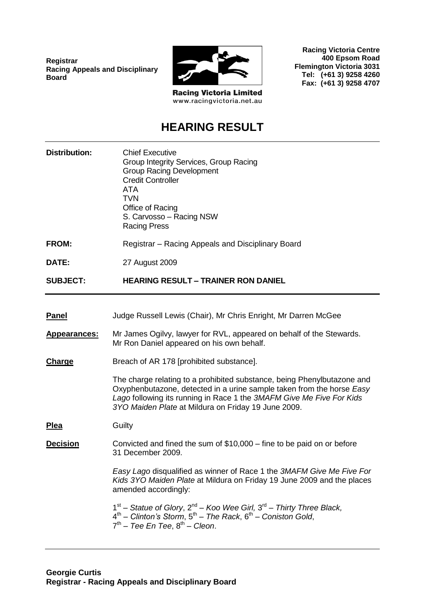**Registrar Racing Appeals and Disciplinary Board**



**Racing Victoria Centre 400 Epsom Road**

**Flemington Victoria 3031 Tel: (+61 3) 9258 4260 Fax: (+61 3) 9258 4707**

**Racing Victoria Limited** www.racingvictoria.net.au

# **HEARING RESULT**

| <b>Distribution:</b> | <b>Chief Executive</b><br>Group Integrity Services, Group Racing<br><b>Group Racing Development</b><br><b>Credit Controller</b><br>ATA<br><b>TVN</b><br>Office of Racing<br>S. Carvosso - Racing NSW<br><b>Racing Press</b>                                                     |
|----------------------|---------------------------------------------------------------------------------------------------------------------------------------------------------------------------------------------------------------------------------------------------------------------------------|
| <b>FROM:</b>         | Registrar – Racing Appeals and Disciplinary Board                                                                                                                                                                                                                               |
| DATE:                | 27 August 2009                                                                                                                                                                                                                                                                  |
| <b>SUBJECT:</b>      | <b>HEARING RESULT - TRAINER RON DANIEL</b>                                                                                                                                                                                                                                      |
|                      |                                                                                                                                                                                                                                                                                 |
| <b>Panel</b>         | Judge Russell Lewis (Chair), Mr Chris Enright, Mr Darren McGee                                                                                                                                                                                                                  |
| <b>Appearances:</b>  | Mr James Ogilvy, lawyer for RVL, appeared on behalf of the Stewards.<br>Mr Ron Daniel appeared on his own behalf.                                                                                                                                                               |
| Charge               | Breach of AR 178 [prohibited substance].                                                                                                                                                                                                                                        |
|                      | The charge relating to a prohibited substance, being Phenylbutazone and<br>Oxyphenbutazone, detected in a urine sample taken from the horse Easy<br>Lago following its running in Race 1 the 3MAFM Give Me Five For Kids<br>3YO Maiden Plate at Mildura on Friday 19 June 2009. |
| <u>Plea</u>          | Guilty                                                                                                                                                                                                                                                                          |
| <b>Decision</b>      | Convicted and fined the sum of $$10,000 -$ fine to be paid on or before<br>31 December 2009.                                                                                                                                                                                    |
|                      | Easy Lago disqualified as winner of Race 1 the 3MAFM Give Me Five For<br>Kids 3YO Maiden Plate at Mildura on Friday 19 June 2009 and the places<br>amended accordingly:                                                                                                         |
|                      | $1st$ – Statue of Glory, $2nd$ – Koo Wee Girl, $3rd$ – Thirty Three Black,<br>$4th$ – Clinton's Storm, $5th$ – The Rack, $6th$ – Coniston Gold,<br>$7th$ – Tee En Tee, $8th$ – Cleon.                                                                                           |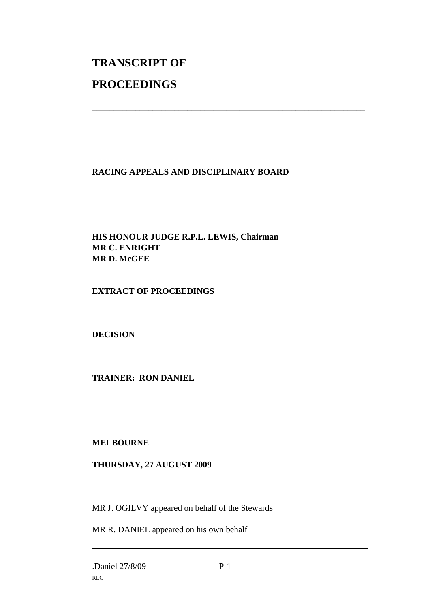# **TRANSCRIPT OF PROCEEDINGS**

# **RACING APPEALS AND DISCIPLINARY BOARD**

\_\_\_\_\_\_\_\_\_\_\_\_\_\_\_\_\_\_\_\_\_\_\_\_\_\_\_\_\_\_\_\_\_\_\_\_\_\_\_\_\_\_\_\_\_\_\_\_\_\_\_\_\_\_\_\_\_\_\_\_\_\_\_

## **HIS HONOUR JUDGE R.P.L. LEWIS, Chairman MR C. ENRIGHT MR D. McGEE**

## **EXTRACT OF PROCEEDINGS**

# **DECISION**

#### **TRAINER: RON DANIEL**

#### **MELBOURNE**

#### **THURSDAY, 27 AUGUST 2009**

MR J. OGILVY appeared on behalf of the Stewards

MR R. DANIEL appeared on his own behalf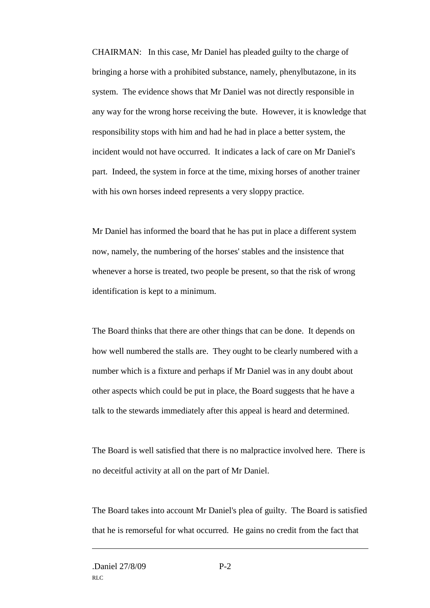CHAIRMAN: In this case, Mr Daniel has pleaded guilty to the charge of bringing a horse with a prohibited substance, namely, phenylbutazone, in its system. The evidence shows that Mr Daniel was not directly responsible in any way for the wrong horse receiving the bute. However, it is knowledge that responsibility stops with him and had he had in place a better system, the incident would not have occurred. It indicates a lack of care on Mr Daniel's part. Indeed, the system in force at the time, mixing horses of another trainer with his own horses indeed represents a very sloppy practice.

Mr Daniel has informed the board that he has put in place a different system now, namely, the numbering of the horses' stables and the insistence that whenever a horse is treated, two people be present, so that the risk of wrong identification is kept to a minimum.

The Board thinks that there are other things that can be done. It depends on how well numbered the stalls are. They ought to be clearly numbered with a number which is a fixture and perhaps if Mr Daniel was in any doubt about other aspects which could be put in place, the Board suggests that he have a talk to the stewards immediately after this appeal is heard and determined.

The Board is well satisfied that there is no malpractice involved here. There is no deceitful activity at all on the part of Mr Daniel.

The Board takes into account Mr Daniel's plea of guilty. The Board is satisfied that he is remorseful for what occurred. He gains no credit from the fact that